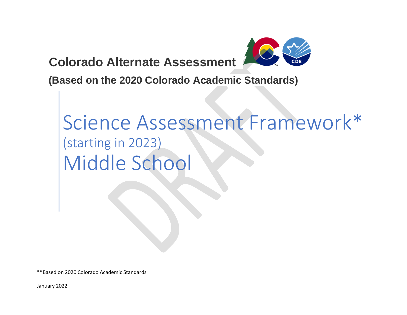**Colorado Alternate Assessment** 



**(Based on the 2020 Colorado Academic Standards)**

# Science Assessment Framework\* (starting in 2023) Middle School

\*\*Based on 2020 Colorado Academic Standards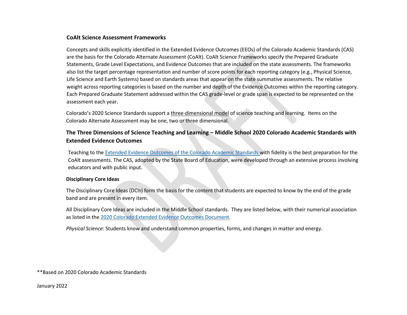## **CoAlt Science Assessment Frameworks**

Concepts and skills explicitly identified in the Extended Evidence Outcomes (EEOs) of the Colorado Academic Standards (CAS) are the basis for the Colorado Alternate Assessment (CoAlt). CoAlt Science Frameworks specify the Prepared Graduate Statements, Grade Level Expectations, and Evidence Outcomes that are included on the state assessments. The frameworks also list the target percentage representation and number of score points for each reporting category (e.g., Physical Science, Life Science and Earth Systems) based on standards areas that appear on the state summative assessments. The relative weight across reporting categories is based on the number and depth of the Evidence Outcomes within the reporting category. Each Prepared Graduate Statement addressed within the CAS grade-level or grade span is expected to be represented on the assessment each year.

Colorado's 2020 Science Standards support a [three-dimensional model](https://www.cde.state.co.us/coscience/three-dimensional-3-d-learning) of science teaching and learning. Items on the Colorado Alternate Assessment may be one, two or three dimensional.

# **The Three Dimensions of Science Teaching and Learning – Middle School 2020 Colorado Academic Standards with Extended Evidence Outcomes**

Teaching to th[e Extended Evidence Outcomes of the Colorado Academic Standards w](https://www.cde.state.co.us/coextendedeo)ith fidelity is the best preparation for the CoAlt assessments. The CAS, adopted by the State Board of Education, were developed through an extensive process involving educators and with public input.

#### **Disciplinary Core Ideas**

The Disciplinary Core Ideas (DCIs) form the basis for the content that students are expected to know by the end of the grade band and are present in every item.

All Disciplinary Core Ideas are included in the Middle School standards. They are listed below, with their numerical association as listed in the [2020 Colorado Extended Evidence Outcomes Document.](https://www.cde.state.co.us/coextendedeo/eeo-science)

*Physical Science:* Students know and understand common properties, forms, and changes in matter and energy.

\*\*Based on 2020 Colorado Academic Standards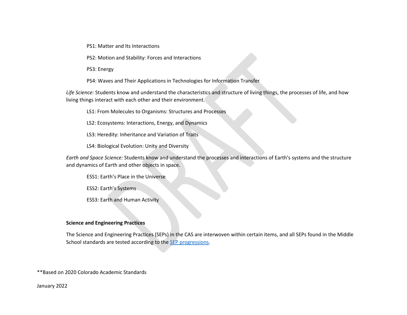PS1: Matter and Its Interactions

PS2: Motion and Stability: Forces and Interactions

PS3: Energy

PS4: Waves and Their Applications in Technologies for Information Transfer

*Life Science:* Students know and understand the characteristics and structure of living things, the processes of life, and how living things interact with each other and their environment.

LS1: From Molecules to Organisms: Structures and Processes

LS2: Ecosystems: Interactions, Energy, and Dynamics

LS3: Heredity: Inheritance and Variation of Traits

LS4: Biological Evolution: Unity and Diversity

*Earth and Space Science:* Students know and understand the processes and interactions of Earth's systems and the structure and dynamics of Earth and other objects in space.

ESS1: Earth's Place in the Universe

ESS2: Earth's Systems

ESS3: Earth and Human Activity

#### **Science and Engineering Practices**

The Science and Engineering Practices (SEPs) in the CAS are interwoven within certain items, and all SEPs found in the Middle School standards are tested according to the SEP [progressions.](https://www.cde.state.co.us/coscience/sep-progressions)

\*\*Based on 2020 Colorado Academic Standards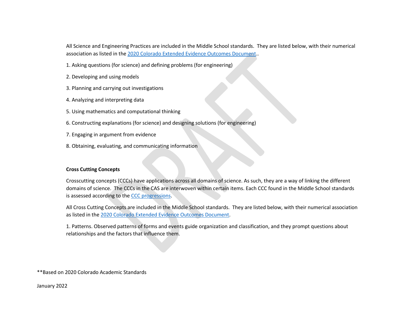All Science and Engineering Practices are included in the Middle School standards. They are listed below, with their numerical association as listed in the [2020 Colorado Extended Evidence Outcomes Document.](https://www.cde.state.co.us/coextendedeo/eeo-science).

1. Asking questions (for science) and defining problems (for engineering)

- 2. Developing and using models
- 3. Planning and carrying out investigations
- 4. Analyzing and interpreting data
- 5. Using mathematics and computational thinking
- 6. Constructing explanations (for science) and designing solutions (for engineering)
- 7. Engaging in argument from evidence
- 8. Obtaining, evaluating, and communicating information

#### **Cross Cutting Concepts**

Crosscutting concepts (CCCs) have applications across all domains of science. As such, they are a way of linking the different domains of science. The CCCs in the CAS are interwoven within certain items. Each CCC found in the Middle School standards is assessed according to the [CCC progressions.](https://www.cde.state.co.us/coscience/ccprogressions)

All Cross Cutting Concepts are included in the Middle School standards. They are listed below, with their numerical association as listed in the [2020 Colorado Extended Evidence Outcomes Document.](https://www.cde.state.co.us/coextendedeo/eeo-science)

1. Patterns. Observed patterns of forms and events guide organization and classification, and they prompt questions about relationships and the factors that influence them.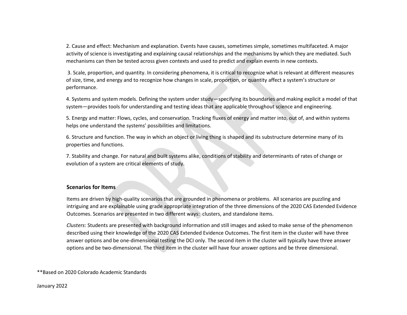2. Cause and effect: Mechanism and explanation. Events have causes, sometimes simple, sometimes multifaceted. A major activity of science is investigating and explaining causal relationships and the mechanisms by which they are mediated. Such mechanisms can then be tested across given contexts and used to predict and explain events in new contexts.

3. Scale, proportion, and quantity. In considering phenomena, it is critical to recognize what is relevant at different measures of size, time, and energy and to recognize how changes in scale, proportion, or quantity affect a system's structure or performance.

4. Systems and system models. Defining the system under study—specifying its boundaries and making explicit a model of that system—provides tools for understanding and testing ideas that are applicable throughout science and engineering.

5. Energy and matter: Flows, cycles, and conservation. Tracking fluxes of energy and matter into, out of, and within systems helps one understand the systems' possibilities and limitations.

6. Structure and function. The way in which an object or living thing is shaped and its substructure determine many of its properties and functions.

7. Stability and change. For natural and built systems alike, conditions of stability and determinants of rates of change or evolution of a system are critical elements of study.

#### **Scenarios for Items**

Items are driven by high-quality scenarios that are grounded in phenomena or problems. All scenarios are puzzling and intriguing and are explainable using grade appropriate integration of the three dimensions of the 2020 CAS Extended Evidence Outcomes. Scenarios are presented in two different ways: clusters, and standalone items.

*Clusters*: Students are presented with background information and still images and asked to make sense of the phenomenon described using their knowledge of the 2020 CAS Extended Evidence Outcomes. The first item in the cluster will have three answer options and be one-dimensional testing the DCI only. The second item in the cluster will typically have three answer options and be two-dimensional. The third item in the cluster will have four answer options and be three dimensional.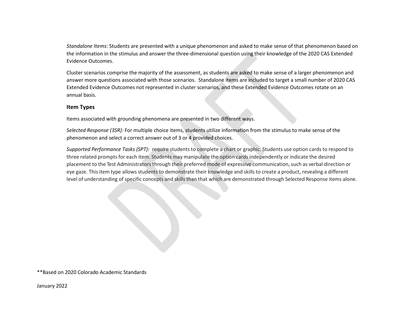*Standalone Items*: Students are presented with a unique phenomenon and asked to make sense of that phenomenon based on the information in the stimulus and answer the three-dimensional question using their knowledge of the 2020 CAS Extended Evidence Outcomes.

Cluster scenarios comprise the majority of the assessment, as students are asked to make sense of a larger phenomenon and answer more questions associated with those scenarios. Standalone items are included to target a small number of 2020 CAS Extended Evidence Outcomes not represented in cluster scenarios, and these Extended Evidence Outcomes rotate on an annual basis.

### **Item Types**

Items associated with grounding phenomena are presented in two different ways.

*Selected Response (3SR):* For multiple choice items, students utilize information from the stimulus to make sense of the phenomenon and select a correct answer out of 3 or 4 provided choices.

*Supported Performance Tasks (SPT):* require students to complete a chart or graphic. Students use option cards to respond to three related prompts for each item. Students may manipulate the option cards independently or indicate the desired placement to the Test Administratorsthrough their preferred mode of expressive communication, such as verbal direction or eye gaze. This item type allows students to demonstrate their knowledge and skills to create a product, revealing a different level of understanding of specific concepts and skills than that which are demonstrated through Selected Response items alone.

\*\*Based on 2020 Colorado Academic Standards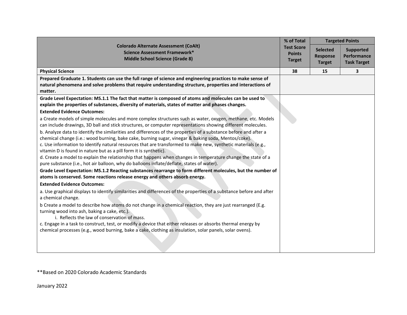|                                                                                                                                                                                                                      | % of Total        |                 | <b>Targeted Points</b> |
|----------------------------------------------------------------------------------------------------------------------------------------------------------------------------------------------------------------------|-------------------|-----------------|------------------------|
| <b>Colorado Alternate Assessment (CoAlt)</b><br>Science Assessment Framework*                                                                                                                                        | <b>Test Score</b> | <b>Selected</b> | <b>Supported</b>       |
| <b>Middle School Science (Grade 8)</b>                                                                                                                                                                               | <b>Points</b>     | <b>Response</b> | <b>Performance</b>     |
|                                                                                                                                                                                                                      | <b>Target</b>     | <b>Target</b>   | <b>Task Target</b>     |
| <b>Physical Science</b>                                                                                                                                                                                              | 38                | 15              | 3                      |
| Prepared Graduate 1. Students can use the full range of science and engineering practices to make sense of                                                                                                           |                   |                 |                        |
| natural phenomena and solve problems that require understanding structure, properties and interactions of<br>matter.                                                                                                 |                   |                 |                        |
| Grade Level Expectation: MS.1.1 The fact that matter is composed of atoms and molecules can be used to                                                                                                               |                   |                 |                        |
| explain the properties of substances, diversity of materials, states of matter and phases changes.                                                                                                                   |                   |                 |                        |
| <b>Extended Evidence Outcomes:</b>                                                                                                                                                                                   |                   |                 |                        |
| a Create models of simple molecules and more complex structures such as water, oxygen, methane, etc. Models                                                                                                          |                   |                 |                        |
| can include drawings, 3D ball and stick structures, or computer representations showing different molecules.                                                                                                         |                   |                 |                        |
| b. Analyze data to identify the similarities and differences of the properties of a substance before and after a                                                                                                     |                   |                 |                        |
| chemical change (i.e.: wood burning, bake cake, burning sugar, vinegar & baking soda, Mentos/coke).<br>c. Use information to identify natural resources that are transformed to make new, synthetic materials (e.g., |                   |                 |                        |
| vitamin D is found in nature but as a pill form it is synthetic).                                                                                                                                                    |                   |                 |                        |
| d. Create a model to explain the relationship that happens when changes in temperature change the state of a                                                                                                         |                   |                 |                        |
| pure substance (i.e., hot air balloon, why do balloons inflate/deflate, states of water).                                                                                                                            |                   |                 |                        |
| Grade Level Expectation: MS.1.2 Reacting substances rearrange to form different molecules, but the number of                                                                                                         |                   |                 |                        |
| atoms is conserved. Some reactions release energy and others absorb energy.                                                                                                                                          |                   |                 |                        |
| <b>Extended Evidence Outcomes:</b>                                                                                                                                                                                   |                   |                 |                        |
| a. Use graphical displays to identify similarities and differences of the properties of a substance before and after<br>a chemical change.                                                                           |                   |                 |                        |
| b Create a model to describe how atoms do not change in a chemical reaction, they are just rearranged (E.g.                                                                                                          |                   |                 |                        |
| turning wood into ash, baking a cake, etc.).<br>i. Reflects the law of conservation of mass.                                                                                                                         |                   |                 |                        |
| c. Engage in a task to construct, test, or modify a device that either releases or absorbs thermal energy by                                                                                                         |                   |                 |                        |
| chemical processes (e.g., wood burning, bake a cake, clothing as insulation, solar panels, solar ovens).                                                                                                             |                   |                 |                        |
|                                                                                                                                                                                                                      |                   |                 |                        |
|                                                                                                                                                                                                                      |                   |                 |                        |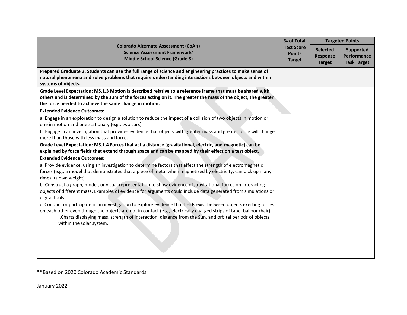|                                                                                                                                                                                                                      | % of Total                     |                 | <b>Targeted Points</b> |
|----------------------------------------------------------------------------------------------------------------------------------------------------------------------------------------------------------------------|--------------------------------|-----------------|------------------------|
| <b>Colorado Alternate Assessment (CoAlt)</b><br>Science Assessment Framework*                                                                                                                                        | <b>Test Score</b>              | <b>Selected</b> | <b>Supported</b>       |
| Middle School Science (Grade 8)                                                                                                                                                                                      | <b>Points</b><br><b>Target</b> | <b>Response</b> | Performance            |
|                                                                                                                                                                                                                      |                                | <b>Target</b>   | <b>Task Target</b>     |
| Prepared Graduate 2. Students can use the full range of science and engineering practices to make sense of                                                                                                           |                                |                 |                        |
| natural phenomena and solve problems that require understanding interactions between objects and within<br>systems of objects.                                                                                       |                                |                 |                        |
| Grade Level Expectation: MS.1.3 Motion is described relative to a reference frame that must be shared with                                                                                                           |                                |                 |                        |
| others and is determined by the sum of the forces acting on it. The greater the mass of the object, the greater<br>the force needed to achieve the same change in motion.                                            |                                |                 |                        |
| <b>Extended Evidence Outcomes:</b>                                                                                                                                                                                   |                                |                 |                        |
| a. Engage in an exploration to design a solution to reduce the impact of a collision of two objects in motion or<br>one in motion and one stationary (e.g., two cars).                                               |                                |                 |                        |
| b. Engage in an investigation that provides evidence that objects with greater mass and greater force will change<br>more than those with less mass and force.                                                       |                                |                 |                        |
| Grade Level Expectation: MS.1.4 Forces that act a distance (gravitational, electric, and magnetic) can be<br>explained by force fields that extend through space and can be mapped by their effect on a test object. |                                |                 |                        |
| <b>Extended Evidence Outcomes:</b>                                                                                                                                                                                   |                                |                 |                        |
| a. Provide evidence, using an investigation to determine factors that affect the strength of electromagnetic                                                                                                         |                                |                 |                        |
| forces (e.g., a model that demonstrates that a piece of metal when magnetized by electricity, can pick up many<br>times its own weight).                                                                             |                                |                 |                        |
| b. Construct a graph, model, or visual representation to show evidence of gravitational forces on interacting                                                                                                        |                                |                 |                        |
| objects of different mass. Examples of evidence for arguments could include data generated from simulations or<br>digital tools.                                                                                     |                                |                 |                        |
| c. Conduct or participate in an investigation to explore evidence that fields exist between objects exerting forces                                                                                                  |                                |                 |                        |
| on each other even though the objects are not in contact (e.g., electrically charged strips of tape, balloon/hair).                                                                                                  |                                |                 |                        |
| i.Charts displaying mass, strength of interaction, distance from the Sun, and orbital periods of objects<br>within the solar system.                                                                                 |                                |                 |                        |
|                                                                                                                                                                                                                      |                                |                 |                        |
|                                                                                                                                                                                                                      |                                |                 |                        |
|                                                                                                                                                                                                                      |                                |                 |                        |
|                                                                                                                                                                                                                      |                                |                 |                        |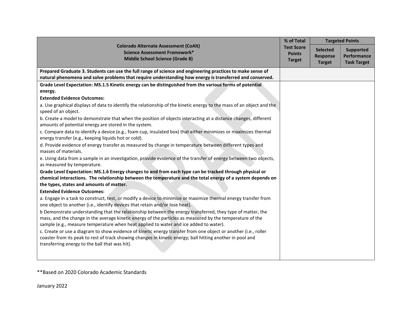|                                                                                                                                                                                                                                                                                                                  | % of Total                                          |                                                     | <b>Targeted Points</b>                         |
|------------------------------------------------------------------------------------------------------------------------------------------------------------------------------------------------------------------------------------------------------------------------------------------------------------------|-----------------------------------------------------|-----------------------------------------------------|------------------------------------------------|
| <b>Colorado Alternate Assessment (CoAlt)</b><br>Science Assessment Framework*<br><b>Middle School Science (Grade 8)</b>                                                                                                                                                                                          | <b>Test Score</b><br><b>Points</b><br><b>Target</b> | <b>Selected</b><br><b>Response</b><br><b>Target</b> | Supported<br>Performance<br><b>Task Target</b> |
| Prepared Graduate 3. Students can use the full range of science and engineering practices to make sense of                                                                                                                                                                                                       |                                                     |                                                     |                                                |
| natural phenomena and solve problems that require understanding how energy is transferred and conserved.                                                                                                                                                                                                         |                                                     |                                                     |                                                |
| Grade Level Expectation: MS.1.5 Kinetic energy can be distinguished from the various forms of potential                                                                                                                                                                                                          |                                                     |                                                     |                                                |
| energy.                                                                                                                                                                                                                                                                                                          |                                                     |                                                     |                                                |
| <b>Extended Evidence Outcomes:</b>                                                                                                                                                                                                                                                                               |                                                     |                                                     |                                                |
| a. Use graphical displays of data to identify the relationship of the kinetic energy to the mass of an object and the<br>speed of an object.                                                                                                                                                                     |                                                     |                                                     |                                                |
| b. Create a model to demonstrate that when the position of objects interacting at a distance changes, different<br>amounts of potential energy are stored in the system.                                                                                                                                         |                                                     |                                                     |                                                |
| c. Compare data to identify a device (e.g., foam cup, insulated box) that either minimizes or maximizes thermal<br>energy transfer (e.g., keeping liquids hot or cold).                                                                                                                                          |                                                     |                                                     |                                                |
| d. Provide evidence of energy transfer as measured by change in temperature between different types and<br>masses of materials.                                                                                                                                                                                  |                                                     |                                                     |                                                |
| e. Using data from a sample in an investigation, provide evidence of the transfer of energy between two objects,<br>as measured by temperature.                                                                                                                                                                  |                                                     |                                                     |                                                |
| Grade Level Expectation: MS.1.6 Energy changes to and from each type can be tracked through physical or                                                                                                                                                                                                          |                                                     |                                                     |                                                |
| chemical interactions. The relationship between the temperature and the total energy of a system depends on                                                                                                                                                                                                      |                                                     |                                                     |                                                |
| the types, states and amounts of matter.                                                                                                                                                                                                                                                                         |                                                     |                                                     |                                                |
| <b>Extended Evidence Outcomes:</b>                                                                                                                                                                                                                                                                               |                                                     |                                                     |                                                |
| a. Engage in a task to construct, test, or modify a device to minimize or maximize thermal energy transfer from<br>one object to another (i.e., identify devices that retain and/or lose heat).                                                                                                                  |                                                     |                                                     |                                                |
| b Demonstrate understanding that the relationship between the energy transferred, they type of matter, the<br>mass, and the change in the average kinetic energy of the particles as measured by the temperature of the<br>sample (e.g., measure temperature when heat applied to water and ice added to water). |                                                     |                                                     |                                                |
| c. Create or use a diagram to show evidence of kinetic energy transfer from one object or another (i.e., roller<br>coaster from its peak to rest of track showing changes in kinetic energy; ball hitting another in pool and<br>transferring energy to the ball that was hit).                                  |                                                     |                                                     |                                                |
|                                                                                                                                                                                                                                                                                                                  |                                                     |                                                     |                                                |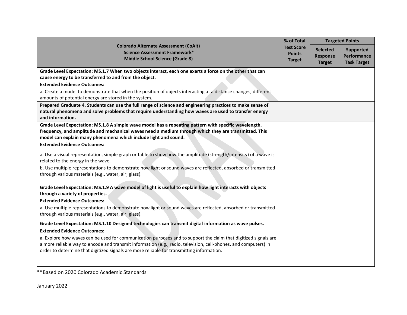|                                                                                                                                                                                                                     | % of Total                     |                 | <b>Targeted Points</b> |
|---------------------------------------------------------------------------------------------------------------------------------------------------------------------------------------------------------------------|--------------------------------|-----------------|------------------------|
| <b>Colorado Alternate Assessment (CoAlt)</b><br>Science Assessment Framework*                                                                                                                                       | <b>Test Score</b>              | <b>Selected</b> | Supported              |
| <b>Middle School Science (Grade 8)</b>                                                                                                                                                                              | <b>Points</b><br><b>Target</b> | Response        | <b>Performance</b>     |
|                                                                                                                                                                                                                     |                                | <b>Target</b>   | <b>Task Target</b>     |
| Grade Level Expectation: MS.1.7 When two objects interact, each one exerts a force on the other that can                                                                                                            |                                |                 |                        |
| cause energy to be transferred to and from the object.                                                                                                                                                              |                                |                 |                        |
| <b>Extended Evidence Outcomes:</b>                                                                                                                                                                                  |                                |                 |                        |
| a. Create a model to demonstrate that when the position of objects interacting at a distance changes, different                                                                                                     |                                |                 |                        |
| amounts of potential energy are stored in the system.                                                                                                                                                               |                                |                 |                        |
| Prepared Graduate 4. Students can use the full range of science and engineering practices to make sense of<br>natural phenomena and solve problems that require understanding how waves are used to transfer energy |                                |                 |                        |
| and information.                                                                                                                                                                                                    |                                |                 |                        |
| Grade Level Expectation: MS.1.8 A simple wave model has a repeating pattern with specific wavelength,                                                                                                               |                                |                 |                        |
| frequency, and amplitude and mechanical waves need a medium through which they are transmitted. This                                                                                                                |                                |                 |                        |
| model can explain many phenomena which include light and sound.                                                                                                                                                     |                                |                 |                        |
| <b>Extended Evidence Outcomes:</b>                                                                                                                                                                                  |                                |                 |                        |
| a. Use a visual representation, simple graph or table to show how the amplitude (strength/intensity) of a wave is<br>related to the energy in the wave.                                                             |                                |                 |                        |
| b. Use multiple representations to demonstrate how light or sound waves are reflected, absorbed or transmitted<br>through various materials (e.g., water, air, glass).                                              |                                |                 |                        |
| Grade Level Expectation: MS.1.9 A wave model of light is useful to explain how light interacts with objects<br>through a variety of properties.                                                                     |                                |                 |                        |
| <b>Extended Evidence Outcomes:</b>                                                                                                                                                                                  |                                |                 |                        |
| a. Use multiple representations to demonstrate how light or sound waves are reflected, absorbed or transmitted<br>through various materials (e.g., water, air, glass).                                              |                                |                 |                        |
| Grade Level Expectation: MS.1.10 Designed technologies can transmit digital information as wave pulses.                                                                                                             |                                |                 |                        |
| <b>Extended Evidence Outcomes:</b>                                                                                                                                                                                  |                                |                 |                        |
| a. Explore how waves can be used for communication purposes and to support the claim that digitized signals are                                                                                                     |                                |                 |                        |
| a more reliable way to encode and transmit information (e.g., radio, television, cell-phones, and computers) in<br>order to determine that digitized signals are more reliable for transmitting information.        |                                |                 |                        |
|                                                                                                                                                                                                                     |                                |                 |                        |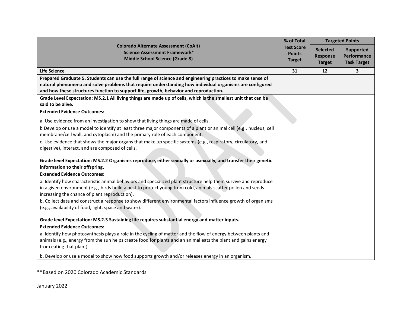|                                                                                                                                                                                                                                 | % of Total        |                 | <b>Targeted Points</b> |
|---------------------------------------------------------------------------------------------------------------------------------------------------------------------------------------------------------------------------------|-------------------|-----------------|------------------------|
| <b>Colorado Alternate Assessment (CoAlt)</b><br><b>Science Assessment Framework*</b>                                                                                                                                            | <b>Test Score</b> | <b>Selected</b> | <b>Supported</b>       |
| <b>Middle School Science (Grade 8)</b>                                                                                                                                                                                          | <b>Points</b>     | <b>Response</b> | Performance            |
|                                                                                                                                                                                                                                 | <b>Target</b>     | <b>Target</b>   | <b>Task Target</b>     |
| <b>Life Science</b>                                                                                                                                                                                                             | 31                | 12              | 3                      |
| Prepared Graduate 5. Students can use the full range of science and engineering practices to make sense of                                                                                                                      |                   |                 |                        |
| natural phenomena and solve problems that require understanding how individual organisms are configured<br>and how these structures function to support life, growth, behavior and reproduction.                                |                   |                 |                        |
| Grade Level Expectation: MS.2.1 All living things are made up of cells, which is the smallest unit that can be<br>said to be alive.                                                                                             |                   |                 |                        |
| <b>Extended Evidence Outcomes:</b>                                                                                                                                                                                              |                   |                 |                        |
| a. Use evidence from an investigation to show that living things are made of cells.                                                                                                                                             |                   |                 |                        |
| b Develop or use a model to identify at least three major components of a plant or animal cell (e.g., nucleus, cell<br>membrane/cell wall, and cytoplasm) and the primary role of each component.                               |                   |                 |                        |
| c. Use evidence that shows the major organs that make up specific systems (e.g., respiratory, circulatory, and<br>digestive), interact, and are composed of cells.                                                              |                   |                 |                        |
| Grade level Expectation: MS.2.2 Organisms reproduce, either sexually or asexually, and transfer their genetic<br>information to their offspring.                                                                                |                   |                 |                        |
| <b>Extended Evidence Outcomes:</b>                                                                                                                                                                                              |                   |                 |                        |
| a. Identify how characteristic animal behaviors and specialized plant structure help them survive and reproduce                                                                                                                 |                   |                 |                        |
| in a given environment (e.g., birds build a nest to protect young from cold, animals scatter pollen and seeds<br>increasing the chance of plant reproduction).                                                                  |                   |                 |                        |
| b. Collect data and construct a response to show different environmental factors influence growth of organisms<br>(e.g., availability of food, light, space and water).                                                         |                   |                 |                        |
| Grade level Expectation: MS.2.3 Sustaining life requires substantial energy and matter inputs.                                                                                                                                  |                   |                 |                        |
| <b>Extended Evidence Outcomes:</b>                                                                                                                                                                                              |                   |                 |                        |
| a. Identify how photosynthesis plays a role in the cycling of matter and the flow of energy between plants and<br>animals (e.g., energy from the sun helps create food for plants and an animal eats the plant and gains energy |                   |                 |                        |
| from eating that plant).                                                                                                                                                                                                        |                   |                 |                        |
| b. Develop or use a model to show how food supports growth and/or releases energy in an organism.                                                                                                                               |                   |                 |                        |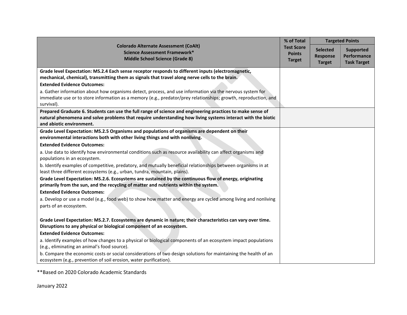|                                                                                                                                                                                            | % of Total        |                 | <b>Targeted Points</b> |
|--------------------------------------------------------------------------------------------------------------------------------------------------------------------------------------------|-------------------|-----------------|------------------------|
| <b>Colorado Alternate Assessment (CoAlt)</b><br><b>Science Assessment Framework*</b>                                                                                                       | <b>Test Score</b> | <b>Selected</b> | Supported              |
| <b>Middle School Science (Grade 8)</b>                                                                                                                                                     | <b>Points</b>     | <b>Response</b> | Performance            |
|                                                                                                                                                                                            | <b>Target</b>     | <b>Target</b>   | <b>Task Target</b>     |
| Grade level Expectation: MS.2.4 Each sense receptor responds to different inputs (electromagnetic,                                                                                         |                   |                 |                        |
| mechanical, chemical), transmitting them as signals that travel along nerve cells to the brain.                                                                                            |                   |                 |                        |
| <b>Extended Evidence Outcomes:</b>                                                                                                                                                         |                   |                 |                        |
| a. Gather information about how organisms detect, process, and use information via the nervous system for                                                                                  |                   |                 |                        |
| immediate use or to store information as a memory (e.g., predator/prey relationships; growth, reproduction, and                                                                            |                   |                 |                        |
| survival).                                                                                                                                                                                 |                   |                 |                        |
| Prepared Graduate 6. Students can use the full range of science and engineering practices to make sense of                                                                                 |                   |                 |                        |
| natural phenomena and solve problems that require understanding how living systems interact with the biotic<br>and abiotic environment.                                                    |                   |                 |                        |
| Grade Level Expectation: MS.2.5 Organisms and populations of organisms are dependent on their                                                                                              |                   |                 |                        |
| environmental interactions both with other living things and with nonliving.                                                                                                               |                   |                 |                        |
| <b>Extended Evidence Outcomes:</b>                                                                                                                                                         |                   |                 |                        |
| a. Use data to identify how environmental conditions such as resource availability can affect organisms and<br>populations in an ecosystem.                                                |                   |                 |                        |
| b. Identify examples of competitive, predatory, and mutually beneficial relationships between organisms in at<br>least three different ecosystems (e.g., urban, tundra, mountain, plains). |                   |                 |                        |
| Grade Level Expectation: MS.2.6. Ecosystems are sustained by the continuous flow of energy, originating                                                                                    |                   |                 |                        |
| primarily from the sun, and the recycling of matter and nutrients within the system.                                                                                                       |                   |                 |                        |
| <b>Extended Evidence Outcomes:</b>                                                                                                                                                         |                   |                 |                        |
| a. Develop or use a model (e.g., food web) to show how matter and energy are cycled among living and nonliving                                                                             |                   |                 |                        |
| parts of an ecosystem.                                                                                                                                                                     |                   |                 |                        |
| Grade Level Expectation: MS.2.7. Ecosystems are dynamic in nature; their characteristics can vary over time.                                                                               |                   |                 |                        |
| Disruptions to any physical or biological component of an ecosystem.                                                                                                                       |                   |                 |                        |
| <b>Extended Evidence Outcomes:</b>                                                                                                                                                         |                   |                 |                        |
| a. Identify examples of how changes to a physical or biological components of an ecosystem impact populations                                                                              |                   |                 |                        |
| (e.g., eliminating an animal's food source).                                                                                                                                               |                   |                 |                        |
| b. Compare the economic costs or social considerations of two design solutions for maintaining the health of an                                                                            |                   |                 |                        |
| ecosystem (e.g., prevention of soil erosion, water purification).                                                                                                                          |                   |                 |                        |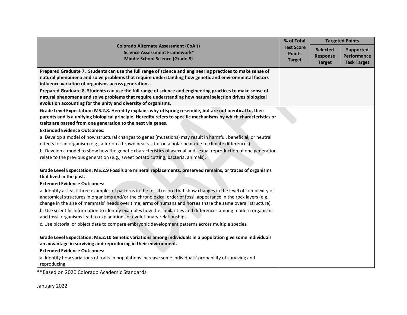|                                                                                                                                                                                            | % of Total        |                 | <b>Targeted Points</b> |
|--------------------------------------------------------------------------------------------------------------------------------------------------------------------------------------------|-------------------|-----------------|------------------------|
| <b>Colorado Alternate Assessment (CoAlt)</b><br>Science Assessment Framework*                                                                                                              | <b>Test Score</b> | <b>Selected</b> | Supported              |
| <b>Middle School Science (Grade 8)</b>                                                                                                                                                     | <b>Points</b>     | <b>Response</b> | <b>Performance</b>     |
|                                                                                                                                                                                            | <b>Target</b>     | <b>Target</b>   | <b>Task Target</b>     |
| Prepared Graduate 7. Students can use the full range of science and engineering practices to make sense of                                                                                 |                   |                 |                        |
| natural phenomena and solve problems that require understanding how genetic and environmental factors                                                                                      |                   |                 |                        |
| influence variation of organisms across generations.<br>Prepared Graduate 8. Students can use the full range of science and engineering practices to make sense of                         |                   |                 |                        |
| natural phenomena and solve problems that require understanding how natural selection drives biological                                                                                    |                   |                 |                        |
| evolution accounting for the unity and diversity of organisms.                                                                                                                             |                   |                 |                        |
| Grade Level Expectation: MS.2.8. Heredity explains why offspring resemble, but are not identical to, their                                                                                 |                   |                 |                        |
| parents and is a unifying biological principle. Heredity refers to specific mechanisms by which characteristics or<br>traits are passed from one generation to the next via genes.         |                   |                 |                        |
| <b>Extended Evidence Outcomes:</b>                                                                                                                                                         |                   |                 |                        |
| a. Develop a model of how structural changes to genes (mutations) may result in harmful, beneficial, or neutral                                                                            |                   |                 |                        |
| effects for an organism (e.g., a fur on a brown bear vs. fur on a polar bear due to climate differences).                                                                                  |                   |                 |                        |
| b. Develop a model to show how the genetic characteristics of asexual and sexual reproduction of one generation                                                                            |                   |                 |                        |
| relate to the previous generation (e.g., sweet potato cutting, bacteria, animals).                                                                                                         |                   |                 |                        |
| Grade Level Expectation: MS.2.9 Fossils are mineral replacements, preserved remains, or traces of organisms                                                                                |                   |                 |                        |
| that lived in the past.                                                                                                                                                                    |                   |                 |                        |
| <b>Extended Evidence Outcomes:</b>                                                                                                                                                         |                   |                 |                        |
| a. Identify at least three examples of patterns in the fossil record that show changes in the level of complexity of                                                                       |                   |                 |                        |
| anatomical structures in organisms and/or the chronological order of fossil appearance in the rock layers (e.g.,                                                                           |                   |                 |                        |
| change in the size of mammals' heads over time; arms of humans and horses share the same overall structure).                                                                               |                   |                 |                        |
| b. Use scientific information to identify examples how the similarities and differences among modern organisms<br>and fossil organisms lead to explanations of evolutionary relationships. |                   |                 |                        |
| c. Use pictorial or object data to compare embryonic development patterns across multiple species.                                                                                         |                   |                 |                        |
|                                                                                                                                                                                            |                   |                 |                        |
| Grade Level Expectation: MS.2.10 Genetic variations among individuals in a population give some individuals                                                                                |                   |                 |                        |
| an advantage in surviving and reproducing in their environment.                                                                                                                            |                   |                 |                        |
| <b>Extended Evidence Outcomes:</b>                                                                                                                                                         |                   |                 |                        |
| a. Identify how variations of traits in populations increase some individuals' probability of surviving and<br>reproducing.                                                                |                   |                 |                        |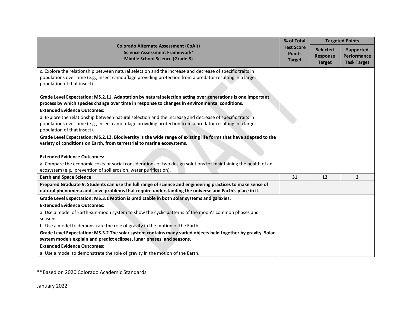|                                                                                                                                                                                                                                                                                                                                                                                                                                                                      | % of Total<br><b>Targeted Points</b>                |                                                     |                                                       |
|----------------------------------------------------------------------------------------------------------------------------------------------------------------------------------------------------------------------------------------------------------------------------------------------------------------------------------------------------------------------------------------------------------------------------------------------------------------------|-----------------------------------------------------|-----------------------------------------------------|-------------------------------------------------------|
| <b>Colorado Alternate Assessment (CoAlt)</b><br><b>Science Assessment Framework*</b><br><b>Middle School Science (Grade 8)</b>                                                                                                                                                                                                                                                                                                                                       | <b>Test Score</b><br><b>Points</b><br><b>Target</b> | <b>Selected</b><br><b>Response</b><br><b>Target</b> | <b>Supported</b><br>Performance<br><b>Task Target</b> |
| c. Explore the relationship between natural selection and the increase and decrease of specific traits in<br>populations over time (e.g., insect camouflage providing protection from a predator resulting in a larger<br>population of that insect).<br>Grade Level Expectation: MS.2.11. Adaptation by natural selection acting over generations is one important<br>process by which species change over time in response to changes in environmental conditions. |                                                     |                                                     |                                                       |
| <b>Extended Evidence Outcomes:</b>                                                                                                                                                                                                                                                                                                                                                                                                                                   |                                                     |                                                     |                                                       |
| a. Explore the relationship between natural selection and the increase and decrease of specific traits in<br>populations over time (e.g., insect camouflage providing protection from a predator resulting in a larger<br>population of that insect).                                                                                                                                                                                                                |                                                     |                                                     |                                                       |
| Grade Level Expectation: MS.2.12. Biodiversity is the wide range of existing life forms that have adapted to the<br>variety of conditions on Earth, from terrestrial to marine ecosystems.                                                                                                                                                                                                                                                                           |                                                     |                                                     |                                                       |
| <b>Extended Evidence Outcomes:</b>                                                                                                                                                                                                                                                                                                                                                                                                                                   |                                                     |                                                     |                                                       |
| a. Compare the economic costs or social considerations of two design solutions for maintaining the health of an<br>ecosystem (e.g., prevention of soil erosion, water purification).                                                                                                                                                                                                                                                                                 |                                                     |                                                     |                                                       |
| <b>Earth and Space Science</b>                                                                                                                                                                                                                                                                                                                                                                                                                                       | 31                                                  | 12                                                  | 3                                                     |
| Prepared Graduate 9. Students can use the full range of science and engineering practices to make sense of<br>natural phenomena and solve problems that require understanding the universe and Earth's place in it.                                                                                                                                                                                                                                                  |                                                     |                                                     |                                                       |
| Grade Level Expectation: MS.3.1 Motion is predictable in both solar systems and galaxies.                                                                                                                                                                                                                                                                                                                                                                            |                                                     |                                                     |                                                       |
| <b>Extended Evidence Outcomes:</b>                                                                                                                                                                                                                                                                                                                                                                                                                                   |                                                     |                                                     |                                                       |
| a. Use a model of Earth-sun-moon system to show the cyclic patterns of the moon's common phases and<br>seasons.                                                                                                                                                                                                                                                                                                                                                      |                                                     |                                                     |                                                       |
| b. Use a model to demonstrate the role of gravity in the motion of the Earth.                                                                                                                                                                                                                                                                                                                                                                                        |                                                     |                                                     |                                                       |
| Grade Level Expectation: MS.3.2 The solar system contains many varied objects held together by gravity. Solar                                                                                                                                                                                                                                                                                                                                                        |                                                     |                                                     |                                                       |
| system models explain and predict eclipses, lunar phases, and seasons.                                                                                                                                                                                                                                                                                                                                                                                               |                                                     |                                                     |                                                       |
| <b>Extended Evidence Outcomes:</b>                                                                                                                                                                                                                                                                                                                                                                                                                                   |                                                     |                                                     |                                                       |
| a. Use a model to demonstrate the role of gravity in the motion of the Earth.                                                                                                                                                                                                                                                                                                                                                                                        |                                                     |                                                     |                                                       |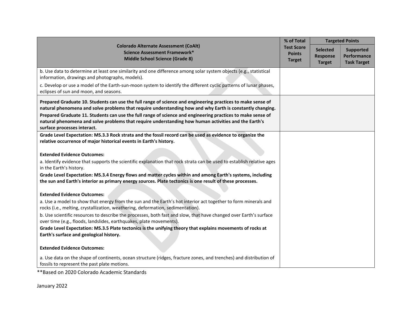|                                                                                                                                                                                                                                                    | % of Total                     |                 | <b>Targeted Points</b> |
|----------------------------------------------------------------------------------------------------------------------------------------------------------------------------------------------------------------------------------------------------|--------------------------------|-----------------|------------------------|
| <b>Colorado Alternate Assessment (CoAlt)</b><br><b>Science Assessment Framework*</b>                                                                                                                                                               | <b>Test Score</b>              | <b>Selected</b> | <b>Supported</b>       |
| <b>Middle School Science (Grade 8)</b>                                                                                                                                                                                                             | <b>Points</b><br><b>Target</b> | <b>Response</b> | <b>Performance</b>     |
|                                                                                                                                                                                                                                                    |                                | <b>Target</b>   | <b>Task Target</b>     |
| b. Use data to determine at least one similarity and one difference among solar system objects (e.g., statistical<br>information, drawings and photographs, models).                                                                               |                                |                 |                        |
| c. Develop or use a model of the Earth-sun-moon system to identify the different cyclic patterns of lunar phases,<br>eclipses of sun and moon, and seasons.                                                                                        |                                |                 |                        |
| Prepared Graduate 10. Students can use the full range of science and engineering practices to make sense of<br>natural phenomena and solve problems that require understanding how and why Earth is constantly changing.                           |                                |                 |                        |
| Prepared Graduate 11. Students can use the full range of science and engineering practices to make sense of<br>natural phenomena and solve problems that require understanding how human activities and the Earth's<br>surface processes interact. |                                |                 |                        |
| Grade Level Expectation: MS.3.3 Rock strata and the fossil record can be used as evidence to organize the<br>relative occurrence of major historical events in Earth's history.                                                                    |                                |                 |                        |
|                                                                                                                                                                                                                                                    |                                |                 |                        |
| <b>Extended Evidence Outcomes:</b>                                                                                                                                                                                                                 |                                |                 |                        |
| a. Identify evidence that supports the scientific explanation that rock strata can be used to establish relative ages<br>in the Earth's history.                                                                                                   |                                |                 |                        |
| Grade Level Expectation: MS.3.4 Energy flows and matter cycles within and among Earth's systems, including                                                                                                                                         |                                |                 |                        |
| the sun and Earth's interior as primary energy sources. Plate tectonics is one result of these processes.                                                                                                                                          |                                |                 |                        |
| <b>Extended Evidence Outcomes:</b>                                                                                                                                                                                                                 |                                |                 |                        |
| a. Use a model to show that energy from the sun and the Earth's hot interior act together to form minerals and<br>rocks (i.e., melting, crystallization, weathering, deformation, sedimentation).                                                  |                                |                 |                        |
| b. Use scientific resources to describe the processes, both fast and slow, that have changed over Earth's surface<br>over time (e.g., floods, landslides, earthquakes, plate movements).                                                           |                                |                 |                        |
| Grade Level Expectation: MS.3.5 Plate tectonics is the unifying theory that explains movements of rocks at<br>Earth's surface and geological history.                                                                                              |                                |                 |                        |
| <b>Extended Evidence Outcomes:</b>                                                                                                                                                                                                                 |                                |                 |                        |
| a. Use data on the shape of continents, ocean structure (ridges, fracture zones, and trenches) and distribution of<br>fossils to represent the past plate motions.                                                                                 |                                |                 |                        |
| **Based on 2020 Colorado Academic Standards                                                                                                                                                                                                        |                                |                 |                        |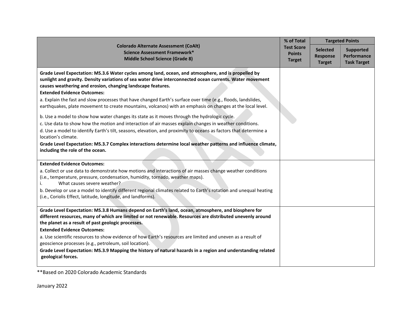|                                                                                                                                                                                                                                                                                                                                                                                                                                                                                                                                                                                                                                                                                                                                                                                                                                                                                                                                                                                                                                                                | % of Total                                          |                                                     | <b>Targeted Points</b>                                |
|----------------------------------------------------------------------------------------------------------------------------------------------------------------------------------------------------------------------------------------------------------------------------------------------------------------------------------------------------------------------------------------------------------------------------------------------------------------------------------------------------------------------------------------------------------------------------------------------------------------------------------------------------------------------------------------------------------------------------------------------------------------------------------------------------------------------------------------------------------------------------------------------------------------------------------------------------------------------------------------------------------------------------------------------------------------|-----------------------------------------------------|-----------------------------------------------------|-------------------------------------------------------|
| <b>Colorado Alternate Assessment (CoAlt)</b><br>Science Assessment Framework*<br><b>Middle School Science (Grade 8)</b>                                                                                                                                                                                                                                                                                                                                                                                                                                                                                                                                                                                                                                                                                                                                                                                                                                                                                                                                        | <b>Test Score</b><br><b>Points</b><br><b>Target</b> | <b>Selected</b><br><b>Response</b><br><b>Target</b> | <b>Supported</b><br>Performance<br><b>Task Target</b> |
| Grade Level Expectation: MS.3.6 Water cycles among land, ocean, and atmosphere, and is propelled by<br>sunlight and gravity. Density variations of sea water drive interconnected ocean currents. Water movement<br>causes weathering and erosion, changing landscape features.<br><b>Extended Evidence Outcomes:</b><br>a. Explain the fast and slow processes that have changed Earth's surface over time (e.g., floods, landslides,<br>earthquakes, plate movement to create mountains, volcanos) with an emphasis on changes at the local level.<br>b. Use a model to show how water changes its state as it moves through the hydrologic cycle.<br>c. Use data to show how the motion and interaction of air masses explain changes in weather conditions.<br>d. Use a model to identify Earth's tilt, seasons, elevation, and proximity to oceans as factors that determine a<br>location's climate.<br>Grade Level Expectation: MS.3.7 Complex interactions determine local weather patterns and influence climate,<br>including the role of the ocean. |                                                     |                                                     |                                                       |
| <b>Extended Evidence Outcomes:</b>                                                                                                                                                                                                                                                                                                                                                                                                                                                                                                                                                                                                                                                                                                                                                                                                                                                                                                                                                                                                                             |                                                     |                                                     |                                                       |
| a. Collect or use data to demonstrate how motions and interactions of air masses change weather conditions<br>(i.e., temperature, pressure, condensation, humidity, tornado, weather maps).<br>What causes severe weather?<br>b. Develop or use a model to identify different regional climates related to Earth's rotation and unequal heating                                                                                                                                                                                                                                                                                                                                                                                                                                                                                                                                                                                                                                                                                                                |                                                     |                                                     |                                                       |
| (i.e., Coriolis Effect, latitude, longitude, and landforms).                                                                                                                                                                                                                                                                                                                                                                                                                                                                                                                                                                                                                                                                                                                                                                                                                                                                                                                                                                                                   |                                                     |                                                     |                                                       |
| Grade Level Expectation: MS.3.8 Humans depend on Earth's land, ocean, atmosphere, and biosphere for<br>different resources, many of which are limited or not renewable. Resources are distributed unevenly around<br>the planet as a result of past geologic processes.<br><b>Extended Evidence Outcomes:</b><br>a. Use scientific resources to show evidence of how Earth's resources are limited and uneven as a result of<br>geoscience processes (e.g., petroleum, soil location).<br>Grade Level Expectation: MS.3.9 Mapping the history of natural hazards in a region and understanding related<br>geological forces.                                                                                                                                                                                                                                                                                                                                                                                                                                   |                                                     |                                                     |                                                       |